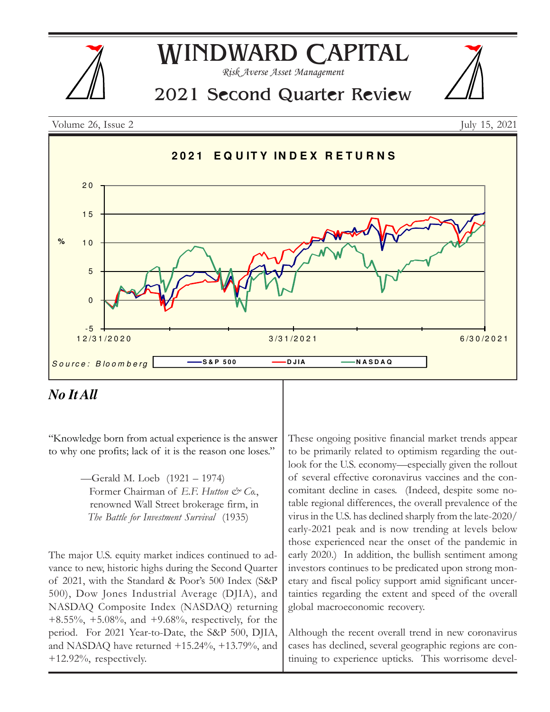



## *No It All*

"Knowledge born from actual experience is the answer to why one profits; lack of it is the reason one loses."

> —Gerald M. Loeb (1921 – 1974) Former Chairman of E.F. Hutton & Co., renowned Wall Street brokerage firm, in The Battle for Investment Survival (1935)

The major U.S. equity market indices continued to advance to new, historic highs during the Second Quarter of 2021, with the Standard & Poor's 500 Index (S&P 500), Dow Jones Industrial Average (DJIA), and NASDAQ Composite Index (NASDAQ) returning +8.55%, +5.08%, and +9.68%, respectively, for the period. For 2021 Year-to-Date, the S&P 500, DJIA, and NASDAQ have returned +15.24%, +13.79%, and +12.92%, respectively.

These ongoing positive financial market trends appear to be primarily related to optimism regarding the outlook for the U.S. economy—especially given the rollout of several effective coronavirus vaccines and the concomitant decline in cases. (Indeed, despite some notable regional differences, the overall prevalence of the virus in the U.S. has declined sharply from the late-2020/ early-2021 peak and is now trending at levels below those experienced near the onset of the pandemic in early 2020.) In addition, the bullish sentiment among investors continues to be predicated upon strong monetary and fiscal policy support amid significant uncertainties regarding the extent and speed of the overall global macroeconomic recovery.

Although the recent overall trend in new coronavirus cases has declined, several geographic regions are continuing to experience upticks. This worrisome devel-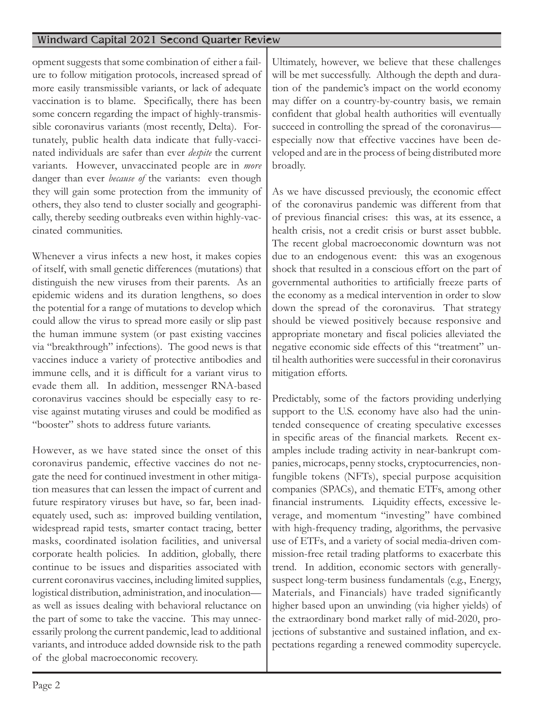opment suggests that some combination of either a failure to follow mitigation protocols, increased spread of more easily transmissible variants, or lack of adequate vaccination is to blame. Specifically, there has been some concern regarding the impact of highly-transmissible coronavirus variants (most recently, Delta). Fortunately, public health data indicate that fully-vaccinated individuals are safer than ever despite the current variants. However, unvaccinated people are in *more* danger than ever *because of* the variants: even though they will gain some protection from the immunity of others, they also tend to cluster socially and geographically, thereby seeding outbreaks even within highly-vaccinated communities.

Whenever a virus infects a new host, it makes copies of itself, with small genetic differences (mutations) that distinguish the new viruses from their parents. As an epidemic widens and its duration lengthens, so does the potential for a range of mutations to develop which could allow the virus to spread more easily or slip past the human immune system (or past existing vaccines via "breakthrough" infections). The good news is that vaccines induce a variety of protective antibodies and immune cells, and it is difficult for a variant virus to evade them all. In addition, messenger RNA-based coronavirus vaccines should be especially easy to revise against mutating viruses and could be modified as "booster" shots to address future variants.

However, as we have stated since the onset of this coronavirus pandemic, effective vaccines do not negate the need for continued investment in other mitigation measures that can lessen the impact of current and future respiratory viruses but have, so far, been inadequately used, such as: improved building ventilation, widespread rapid tests, smarter contact tracing, better masks, coordinated isolation facilities, and universal corporate health policies. In addition, globally, there continue to be issues and disparities associated with current coronavirus vaccines, including limited supplies, logistical distribution, administration, and inoculation as well as issues dealing with behavioral reluctance on the part of some to take the vaccine. This may unnecessarily prolong the current pandemic, lead to additional variants, and introduce added downside risk to the path of the global macroeconomic recovery.

Ultimately, however, we believe that these challenges will be met successfully. Although the depth and duration of the pandemic's impact on the world economy may differ on a country-by-country basis, we remain confident that global health authorities will eventually succeed in controlling the spread of the coronavirus especially now that effective vaccines have been developed and are in the process of being distributed more broadly.

As we have discussed previously, the economic effect of the coronavirus pandemic was different from that of previous financial crises: this was, at its essence, a health crisis, not a credit crisis or burst asset bubble. The recent global macroeconomic downturn was not due to an endogenous event: this was an exogenous shock that resulted in a conscious effort on the part of governmental authorities to artificially freeze parts of the economy as a medical intervention in order to slow down the spread of the coronavirus. That strategy should be viewed positively because responsive and appropriate monetary and fiscal policies alleviated the negative economic side effects of this "treatment" until health authorities were successful in their coronavirus mitigation efforts.

Predictably, some of the factors providing underlying support to the U.S. economy have also had the unintended consequence of creating speculative excesses in specific areas of the financial markets. Recent examples include trading activity in near-bankrupt companies, microcaps, penny stocks, cryptocurrencies, nonfungible tokens (NFTs), special purpose acquisition companies (SPACs), and thematic ETFs, among other financial instruments. Liquidity effects, excessive leverage, and momentum "investing" have combined with high-frequency trading, algorithms, the pervasive use of ETFs, and a variety of social media-driven commission-free retail trading platforms to exacerbate this trend. In addition, economic sectors with generallysuspect long-term business fundamentals (e.g., Energy, Materials, and Financials) have traded significantly higher based upon an unwinding (via higher yields) of the extraordinary bond market rally of mid-2020, projections of substantive and sustained inflation, and expectations regarding a renewed commodity supercycle.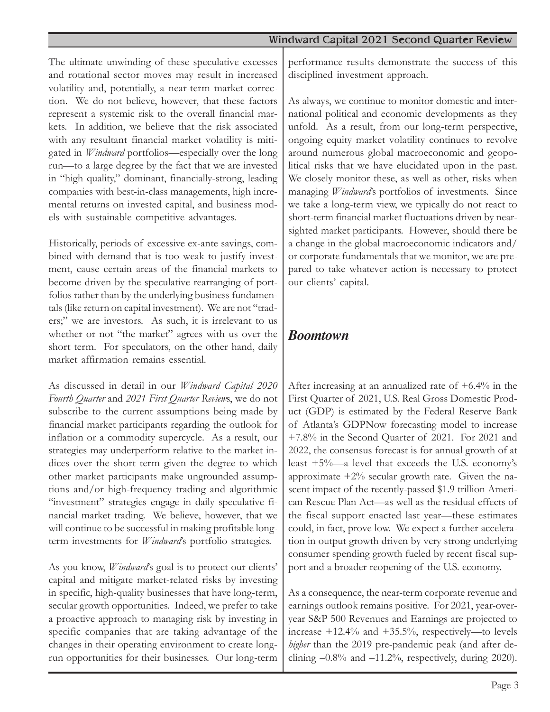The ultimate unwinding of these speculative excesses and rotational sector moves may result in increased volatility and, potentially, a near-term market correction. We do not believe, however, that these factors represent a systemic risk to the overall financial markets. In addition, we believe that the risk associated with any resultant financial market volatility is mitigated in *Windward* portfolios—especially over the long run—to a large degree by the fact that we are invested in "high quality," dominant, financially-strong, leading companies with best-in-class managements, high incremental returns on invested capital, and business models with sustainable competitive advantages.

Historically, periods of excessive ex-ante savings, combined with demand that is too weak to justify investment, cause certain areas of the financial markets to become driven by the speculative rearranging of portfolios rather than by the underlying business fundamentals (like return on capital investment). We are not "traders;" we are investors. As such, it is irrelevant to us whether or not "the market" agrees with us over the short term. For speculators, on the other hand, daily market affirmation remains essential.

As discussed in detail in our Windward Capital 2020 Fourth Quarter and 2021 First Quarter Reviews, we do not subscribe to the current assumptions being made by financial market participants regarding the outlook for inflation or a commodity supercycle. As a result, our strategies may underperform relative to the market indices over the short term given the degree to which other market participants make ungrounded assumptions and/or high-frequency trading and algorithmic "investment" strategies engage in daily speculative financial market trading. We believe, however, that we will continue to be successful in making profitable longterm investments for *Windward's* portfolio strategies.

As you know, *Windward*'s goal is to protect our clients' capital and mitigate market-related risks by investing in specific, high-quality businesses that have long-term, secular growth opportunities. Indeed, we prefer to take a proactive approach to managing risk by investing in specific companies that are taking advantage of the changes in their operating environment to create longrun opportunities for their businesses. Our long-term

performance results demonstrate the success of this disciplined investment approach.

As always, we continue to monitor domestic and international political and economic developments as they unfold. As a result, from our long-term perspective, ongoing equity market volatility continues to revolve around numerous global macroeconomic and geopolitical risks that we have elucidated upon in the past. We closely monitor these, as well as other, risks when managing Windward's portfolios of investments. Since we take a long-term view, we typically do not react to short-term financial market fluctuations driven by nearsighted market participants. However, should there be a change in the global macroeconomic indicators and/ or corporate fundamentals that we monitor, we are prepared to take whatever action is necessary to protect our clients' capital.

## *Boomtown*

After increasing at an annualized rate of  $+6.4\%$  in the First Quarter of 2021, U.S. Real Gross Domestic Product (GDP) is estimated by the Federal Reserve Bank of Atlanta's GDPNow forecasting model to increase +7.8% in the Second Quarter of 2021. For 2021 and 2022, the consensus forecast is for annual growth of at least  $+5\%$ —a level that exceeds the U.S. economy's approximate  $+2\%$  secular growth rate. Given the nascent impact of the recently-passed \$1.9 trillion American Rescue Plan Act—as well as the residual effects of the fiscal support enacted last year—these estimates could, in fact, prove low. We expect a further acceleration in output growth driven by very strong underlying consumer spending growth fueled by recent fiscal support and a broader reopening of the U.S. economy.

As a consequence, the near-term corporate revenue and earnings outlook remains positive. For 2021, year-overyear S&P 500 Revenues and Earnings are projected to increase +12.4% and +35.5%, respectively—to levels higher than the 2019 pre-pandemic peak (and after declining  $-0.8\%$  and  $-11.2\%$ , respectively, during 2020).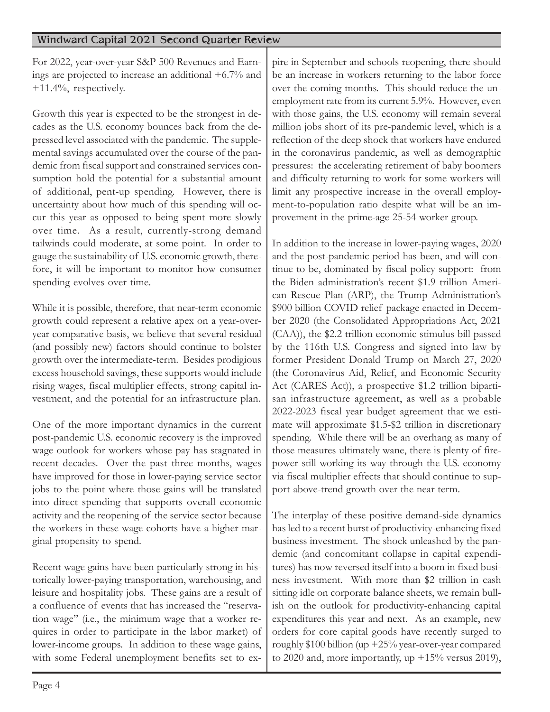For 2022, year-over-year S&P 500 Revenues and Earnings are projected to increase an additional +6.7% and +11.4%, respectively.

Growth this year is expected to be the strongest in decades as the U.S. economy bounces back from the depressed level associated with the pandemic. The supplemental savings accumulated over the course of the pandemic from fiscal support and constrained services consumption hold the potential for a substantial amount of additional, pent-up spending. However, there is uncertainty about how much of this spending will occur this year as opposed to being spent more slowly over time. As a result, currently-strong demand tailwinds could moderate, at some point. In order to gauge the sustainability of U.S. economic growth, therefore, it will be important to monitor how consumer spending evolves over time.

While it is possible, therefore, that near-term economic growth could represent a relative apex on a year-overyear comparative basis, we believe that several residual (and possibly new) factors should continue to bolster growth over the intermediate-term. Besides prodigious excess household savings, these supports would include rising wages, fiscal multiplier effects, strong capital investment, and the potential for an infrastructure plan.

One of the more important dynamics in the current post-pandemic U.S. economic recovery is the improved wage outlook for workers whose pay has stagnated in recent decades. Over the past three months, wages have improved for those in lower-paying service sector jobs to the point where those gains will be translated into direct spending that supports overall economic activity and the reopening of the service sector because the workers in these wage cohorts have a higher marginal propensity to spend.

Recent wage gains have been particularly strong in historically lower-paying transportation, warehousing, and leisure and hospitality jobs. These gains are a result of a confluence of events that has increased the "reservation wage" (i.e., the minimum wage that a worker requires in order to participate in the labor market) of lower-income groups. In addition to these wage gains, with some Federal unemployment benefits set to ex-

pire in September and schools reopening, there should be an increase in workers returning to the labor force over the coming months. This should reduce the unemployment rate from its current 5.9%. However, even with those gains, the U.S. economy will remain several million jobs short of its pre-pandemic level, which is a reflection of the deep shock that workers have endured in the coronavirus pandemic, as well as demographic pressures: the accelerating retirement of baby boomers and difficulty returning to work for some workers will limit any prospective increase in the overall employment-to-population ratio despite what will be an improvement in the prime-age 25-54 worker group.

In addition to the increase in lower-paying wages, 2020 and the post-pandemic period has been, and will continue to be, dominated by fiscal policy support: from the Biden administration's recent \$1.9 trillion American Rescue Plan (ARP), the Trump Administration's \$900 billion COVID relief package enacted in December 2020 (the Consolidated Appropriations Act, 2021 (CAA)), the \$2.2 trillion economic stimulus bill passed by the 116th U.S. Congress and signed into law by former President Donald Trump on March 27, 2020 (the Coronavirus Aid, Relief, and Economic Security Act (CARES Act)), a prospective \$1.2 trillion bipartisan infrastructure agreement, as well as a probable 2022-2023 fiscal year budget agreement that we estimate will approximate \$1.5-\$2 trillion in discretionary spending. While there will be an overhang as many of those measures ultimately wane, there is plenty of firepower still working its way through the U.S. economy via fiscal multiplier effects that should continue to support above-trend growth over the near term.

The interplay of these positive demand-side dynamics has led to a recent burst of productivity-enhancing fixed business investment. The shock unleashed by the pandemic (and concomitant collapse in capital expenditures) has now reversed itself into a boom in fixed business investment. With more than \$2 trillion in cash sitting idle on corporate balance sheets, we remain bullish on the outlook for productivity-enhancing capital expenditures this year and next. As an example, new orders for core capital goods have recently surged to roughly \$100 billion (up +25% year-over-year compared to 2020 and, more importantly, up  $+15\%$  versus 2019),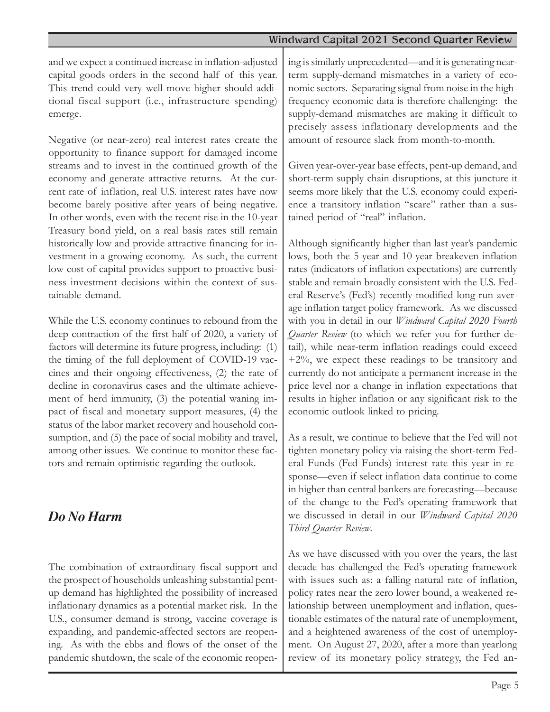and we expect a continued increase in inflation-adjusted capital goods orders in the second half of this year. This trend could very well move higher should additional fiscal support (i.e., infrastructure spending) emerge.

Negative (or near-zero) real interest rates create the opportunity to finance support for damaged income streams and to invest in the continued growth of the economy and generate attractive returns. At the current rate of inflation, real U.S. interest rates have now become barely positive after years of being negative. In other words, even with the recent rise in the 10-year Treasury bond yield, on a real basis rates still remain historically low and provide attractive financing for investment in a growing economy. As such, the current low cost of capital provides support to proactive business investment decisions within the context of sustainable demand.

While the U.S. economy continues to rebound from the deep contraction of the first half of 2020, a variety of factors will determine its future progress, including: (1) the timing of the full deployment of COVID-19 vaccines and their ongoing effectiveness, (2) the rate of decline in coronavirus cases and the ultimate achievement of herd immunity, (3) the potential waning impact of fiscal and monetary support measures, (4) the status of the labor market recovery and household consumption, and  $(5)$  the pace of social mobility and travel, among other issues. We continue to monitor these factors and remain optimistic regarding the outlook.

## *Do No Harm*

The combination of extraordinary fiscal support and the prospect of households unleashing substantial pentup demand has highlighted the possibility of increased inflationary dynamics as a potential market risk. In the U.S., consumer demand is strong, vaccine coverage is expanding, and pandemic-affected sectors are reopening. As with the ebbs and flows of the onset of the pandemic shutdown, the scale of the economic reopening is similarly unprecedented—and it is generating nearterm supply-demand mismatches in a variety of economic sectors. Separating signal from noise in the highfrequency economic data is therefore challenging: the supply-demand mismatches are making it difficult to precisely assess inflationary developments and the amount of resource slack from month-to-month.

Given year-over-year base effects, pent-up demand, and short-term supply chain disruptions, at this juncture it seems more likely that the U.S. economy could experience a transitory inflation "scare" rather than a sustained period of "real" inflation.

Although significantly higher than last year's pandemic lows, both the 5-year and 10-year breakeven inflation rates (indicators of inflation expectations) are currently stable and remain broadly consistent with the U.S. Federal Reserve's (Fed's) recently-modified long-run average inflation target policy framework. As we discussed with you in detail in our Windward Capital 2020 Fourth Quarter Review (to which we refer you for further detail), while near-term inflation readings could exceed +2%, we expect these readings to be transitory and currently do not anticipate a permanent increase in the price level nor a change in inflation expectations that results in higher inflation or any significant risk to the economic outlook linked to pricing.

As a result, we continue to believe that the Fed will not tighten monetary policy via raising the short-term Federal Funds (Fed Funds) interest rate this year in response—even if select inflation data continue to come in higher than central bankers are forecasting—because of the change to the Fed's operating framework that we discussed in detail in our Windward Capital 2020 Third Quarter Review.

As we have discussed with you over the years, the last decade has challenged the Fed's operating framework with issues such as: a falling natural rate of inflation, policy rates near the zero lower bound, a weakened relationship between unemployment and inflation, questionable estimates of the natural rate of unemployment, and a heightened awareness of the cost of unemployment. On August 27, 2020, after a more than yearlong review of its monetary policy strategy, the Fed an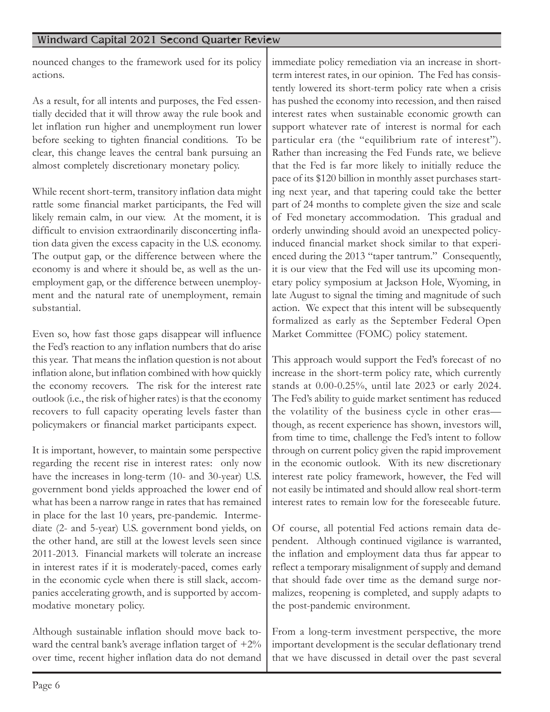nounced changes to the framework used for its policy actions.

As a result, for all intents and purposes, the Fed essentially decided that it will throw away the rule book and let inflation run higher and unemployment run lower before seeking to tighten financial conditions. To be clear, this change leaves the central bank pursuing an almost completely discretionary monetary policy.

While recent short-term, transitory inflation data might rattle some financial market participants, the Fed will likely remain calm, in our view. At the moment, it is difficult to envision extraordinarily disconcerting inflation data given the excess capacity in the U.S. economy. The output gap, or the difference between where the economy is and where it should be, as well as the unemployment gap, or the difference between unemployment and the natural rate of unemployment, remain substantial.

Even so, how fast those gaps disappear will influence the Fed's reaction to any inflation numbers that do arise this year. That means the inflation question is not about inflation alone, but inflation combined with how quickly the economy recovers. The risk for the interest rate outlook (i.e., the risk of higher rates) is that the economy recovers to full capacity operating levels faster than policymakers or financial market participants expect.

It is important, however, to maintain some perspective regarding the recent rise in interest rates: only now have the increases in long-term (10- and 30-year) U.S. government bond yields approached the lower end of what has been a narrow range in rates that has remained in place for the last 10 years, pre-pandemic. Intermediate (2- and 5-year) U.S. government bond yields, on the other hand, are still at the lowest levels seen since 2011-2013. Financial markets will tolerate an increase in interest rates if it is moderately-paced, comes early in the economic cycle when there is still slack, accompanies accelerating growth, and is supported by accommodative monetary policy.

Although sustainable inflation should move back toward the central bank's average inflation target of  $+2\%$ over time, recent higher inflation data do not demand

immediate policy remediation via an increase in shortterm interest rates, in our opinion. The Fed has consistently lowered its short-term policy rate when a crisis has pushed the economy into recession, and then raised interest rates when sustainable economic growth can support whatever rate of interest is normal for each particular era (the "equilibrium rate of interest"). Rather than increasing the Fed Funds rate, we believe that the Fed is far more likely to initially reduce the pace of its \$120 billion in monthly asset purchases starting next year, and that tapering could take the better part of 24 months to complete given the size and scale of Fed monetary accommodation. This gradual and orderly unwinding should avoid an unexpected policyinduced financial market shock similar to that experienced during the 2013 "taper tantrum." Consequently, it is our view that the Fed will use its upcoming monetary policy symposium at Jackson Hole, Wyoming, in late August to signal the timing and magnitude of such action. We expect that this intent will be subsequently formalized as early as the September Federal Open Market Committee (FOMC) policy statement.

This approach would support the Fed's forecast of no increase in the short-term policy rate, which currently stands at 0.00-0.25%, until late 2023 or early 2024. The Fed's ability to guide market sentiment has reduced the volatility of the business cycle in other eras though, as recent experience has shown, investors will, from time to time, challenge the Fed's intent to follow through on current policy given the rapid improvement in the economic outlook. With its new discretionary interest rate policy framework, however, the Fed will not easily be intimated and should allow real short-term interest rates to remain low for the foreseeable future.

Of course, all potential Fed actions remain data dependent. Although continued vigilance is warranted, the inflation and employment data thus far appear to reflect a temporary misalignment of supply and demand that should fade over time as the demand surge normalizes, reopening is completed, and supply adapts to the post-pandemic environment.

From a long-term investment perspective, the more important development is the secular deflationary trend that we have discussed in detail over the past several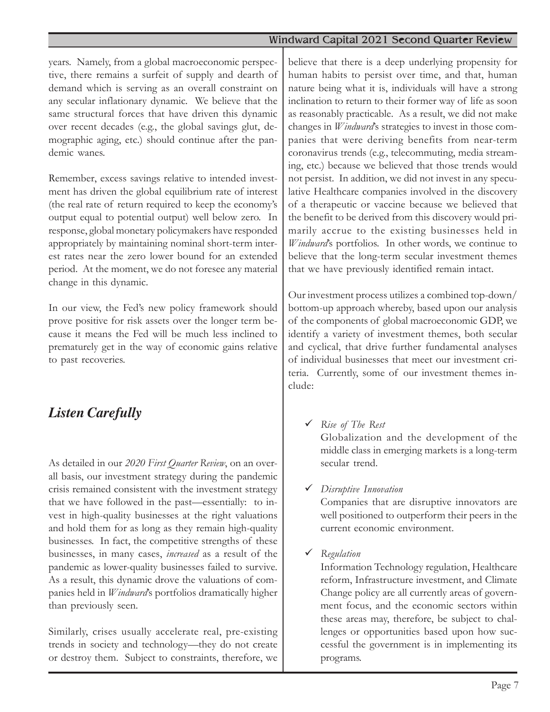years. Namely, from a global macroeconomic perspective, there remains a surfeit of supply and dearth of demand which is serving as an overall constraint on any secular inflationary dynamic. We believe that the same structural forces that have driven this dynamic over recent decades (e.g., the global savings glut, demographic aging, etc.) should continue after the pandemic wanes.

Remember, excess savings relative to intended investment has driven the global equilibrium rate of interest (the real rate of return required to keep the economy's output equal to potential output) well below zero. In response, global monetary policymakers have responded appropriately by maintaining nominal short-term interest rates near the zero lower bound for an extended period. At the moment, we do not foresee any material change in this dynamic.

In our view, the Fed's new policy framework should prove positive for risk assets over the longer term because it means the Fed will be much less inclined to prematurely get in the way of economic gains relative to past recoveries.

## *Listen Carefully*

As detailed in our 2020 First Quarter Review, on an overall basis, our investment strategy during the pandemic crisis remained consistent with the investment strategy that we have followed in the past—essentially: to invest in high-quality businesses at the right valuations and hold them for as long as they remain high-quality businesses. In fact, the competitive strengths of these businesses, in many cases, increased as a result of the pandemic as lower-quality businesses failed to survive. As a result, this dynamic drove the valuations of companies held in Windward's portfolios dramatically higher than previously seen.

Similarly, crises usually accelerate real, pre-existing trends in society and technology—they do not create or destroy them. Subject to constraints, therefore, we

believe that there is a deep underlying propensity for human habits to persist over time, and that, human nature being what it is, individuals will have a strong inclination to return to their former way of life as soon as reasonably practicable. As a result, we did not make changes in Windward's strategies to invest in those companies that were deriving benefits from near-term coronavirus trends (e.g., telecommuting, media streaming, etc.) because we believed that those trends would not persist. In addition, we did not invest in any speculative Healthcare companies involved in the discovery of a therapeutic or vaccine because we believed that the benefit to be derived from this discovery would primarily accrue to the existing businesses held in Windward's portfolios. In other words, we continue to believe that the long-term secular investment themes that we have previously identified remain intact.

Our investment process utilizes a combined top-down/ bottom-up approach whereby, based upon our analysis of the components of global macroeconomic GDP, we identify a variety of investment themes, both secular and cyclical, that drive further fundamental analyses of individual businesses that meet our investment criteria. Currently, some of our investment themes include:

 $\checkmark$  Rise of The Rest

Globalization and the development of the middle class in emerging markets is a long-term secular trend.

 $\checkmark$  Disruptive Innovation

Companies that are disruptive innovators are well positioned to outperform their peers in the current economic environment.

 $\checkmark$  Regulation

Information Technology regulation, Healthcare reform, Infrastructure investment, and Climate Change policy are all currently areas of government focus, and the economic sectors within these areas may, therefore, be subject to challenges or opportunities based upon how successful the government is in implementing its programs.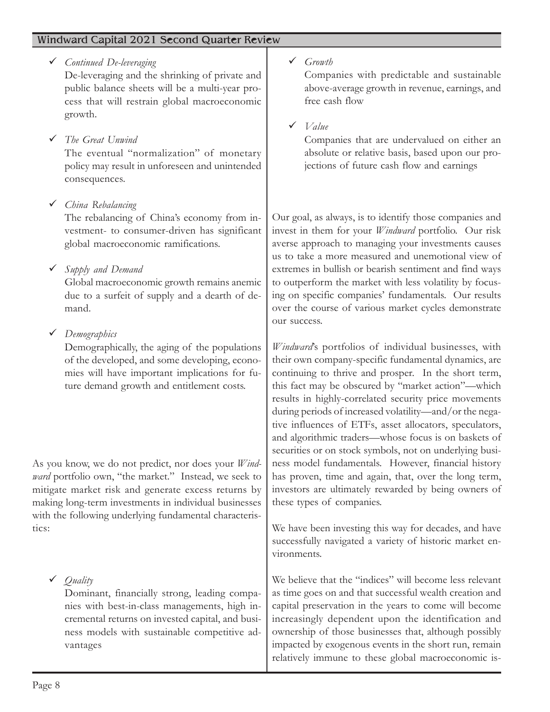$\checkmark$  Continued De-leveraging

De-leveraging and the shrinking of private and public balance sheets will be a multi-year process that will restrain global macroeconomic growth.

 $\checkmark$  The Great Unwind

The eventual "normalization" of monetary policy may result in unforeseen and unintended consequences.

ü China Rebalancing

The rebalancing of China's economy from investment- to consumer-driven has significant global macroeconomic ramifications.

 $\checkmark$  Supply and Demand

Global macroeconomic growth remains anemic due to a surfeit of supply and a dearth of demand.

 $\checkmark$  Demographics

Demographically, the aging of the populations of the developed, and some developing, economies will have important implications for future demand growth and entitlement costs.

As you know, we do not predict, nor does your Windward portfolio own, "the market." Instead, we seek to mitigate market risk and generate excess returns by making long-term investments in individual businesses with the following underlying fundamental characteristics:

Dominant, financially strong, leading companies with best-in-class managements, high incremental returns on invested capital, and business models with sustainable competitive advantages

 $\checkmark$  Growth

Companies with predictable and sustainable above-average growth in revenue, earnings, and free cash flow

 $\checkmark$  Value

Companies that are undervalued on either an absolute or relative basis, based upon our projections of future cash flow and earnings

Our goal, as always, is to identify those companies and invest in them for your Windward portfolio. Our risk averse approach to managing your investments causes us to take a more measured and unemotional view of extremes in bullish or bearish sentiment and find ways to outperform the market with less volatility by focusing on specific companies' fundamentals. Our results over the course of various market cycles demonstrate our success.

Windward's portfolios of individual businesses, with their own company-specific fundamental dynamics, are continuing to thrive and prosper. In the short term, this fact may be obscured by "market action"—which results in highly-correlated security price movements during periods of increased volatility—and/or the negative influences of ETFs, asset allocators, speculators, and algorithmic traders—whose focus is on baskets of securities or on stock symbols, not on underlying business model fundamentals. However, financial history has proven, time and again, that, over the long term, investors are ultimately rewarded by being owners of these types of companies.

We have been investing this way for decades, and have successfully navigated a variety of historic market environments.

We believe that the "indices" will become less relevant as time goes on and that successful wealth creation and capital preservation in the years to come will become increasingly dependent upon the identification and ownership of those businesses that, although possibly impacted by exogenous events in the short run, remain relatively immune to these global macroeconomic is-

 $\checkmark$  Quality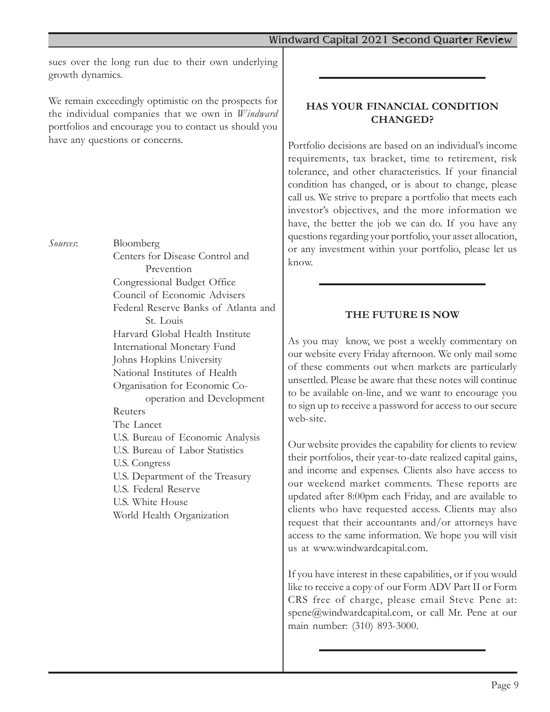sues over the long run due to their own underlying growth dynamics.

We remain exceedingly optimistic on the prospects for the individual companies that we own in Windward portfolios and encourage you to contact us should you have any questions or concerns.

Sources: Bloomberg Centers for Disease Control and Prevention Congressional Budget Office Council of Economic Advisers Federal Reserve Banks of Atlanta and St. Louis Harvard Global Health Institute International Monetary Fund Johns Hopkins University National Institutes of Health Organisation for Economic Cooperation and Development Reuters The Lancet U.S. Bureau of Economic Analysis U.S. Bureau of Labor Statistics U.S. Congress U.S. Department of the Treasury U.S. Federal Reserve U.S. White House World Health Organization

## HAS YOUR FINANCIAL CONDITION CHANGED?

Portfolio decisions are based on an individual's income requirements, tax bracket, time to retirement, risk tolerance, and other characteristics. If your financial condition has changed, or is about to change, please call us. We strive to prepare a portfolio that meets each investor's objectives, and the more information we have, the better the job we can do. If you have any questions regarding your portfolio, your asset allocation, or any investment within your portfolio, please let us know.

## THE FUTURE IS NOW

As you may know, we post a weekly commentary on our website every Friday afternoon. We only mail some of these comments out when markets are particularly unsettled. Please be aware that these notes will continue to be available on-line, and we want to encourage you to sign up to receive a password for access to our secure web-site.

Our website provides the capability for clients to review their portfolios, their year-to-date realized capital gains, and income and expenses. Clients also have access to our weekend market comments. These reports are updated after 8:00pm each Friday, and are available to clients who have requested access. Clients may also request that their accountants and/or attorneys have access to the same information. We hope you will visit us at www.windwardcapital.com.

If you have interest in these capabilities, or if you would like to receive a copy of our Form ADV Part II or Form CRS free of charge, please email Steve Pene at: spene@windwardcapital.com, or call Mr. Pene at our main number: (310) 893-3000.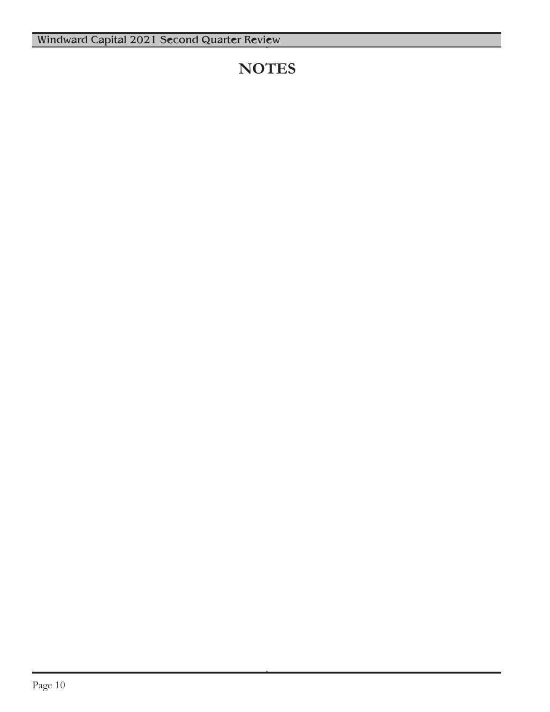## **NOTES**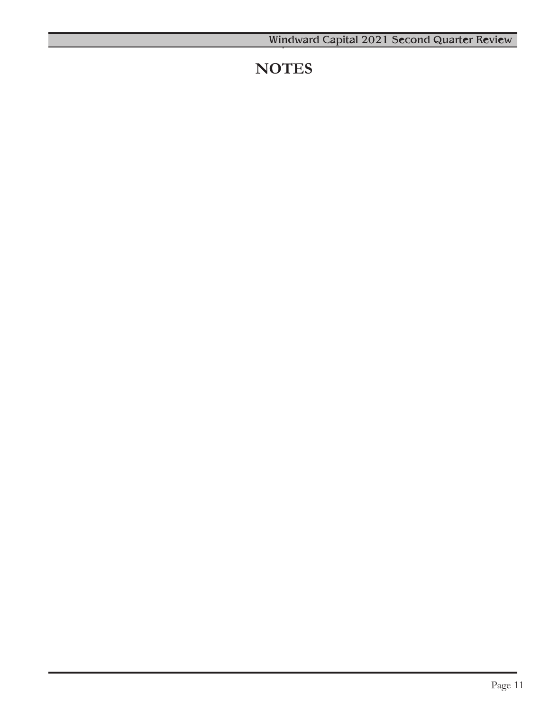## **NOTES**